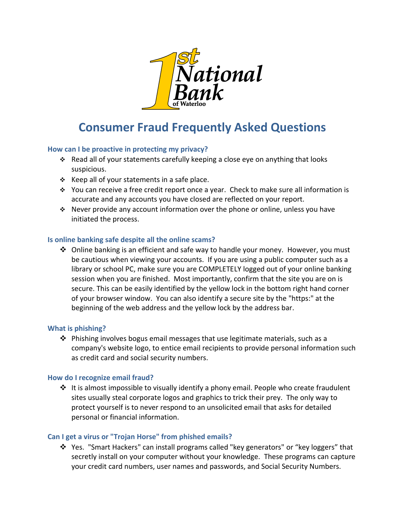

# **Consumer Fraud Frequently Asked Questions**

# **How can I be proactive in protecting my privacy?**

- \* Read all of your statements carefully keeping a close eye on anything that looks suspicious.
- $\div$  Keep all of your statements in a safe place.
- You can receive a free credit report once a year. Check to make sure all information is accurate and any accounts you have closed are reflected on your report.
- Never provide any account information over the phone or online, unless you have initiated the process.

## **Is online banking safe despite all the online scams?**

 $\div$  Online banking is an efficient and safe way to handle your money. However, you must be cautious when viewing your accounts. If you are using a public computer such as a library or school PC, make sure you are COMPLETELY logged out of your online banking session when you are finished. Most importantly, confirm that the site you are on is secure. This can be easily identified by the yellow lock in the bottom right hand corner of your browser window. You can also identify a secure site by the "https:" at the beginning of the web address and the yellow lock by the address bar.

## **What is phishing?**

 $\cdot$  Phishing involves bogus email messages that use legitimate materials, such as a company's website logo, to entice email recipients to provide personal information such as credit card and social security numbers.

## **How do I recognize email fraud?**

 $\cdot \cdot$  It is almost impossible to visually identify a phony email. People who create fraudulent sites usually steal corporate logos and graphics to trick their prey. The only way to protect yourself is to never respond to an unsolicited email that asks for detailed personal or financial information.

## **Can I get a virus or "Trojan Horse" from phished emails?**

 Yes. "Smart Hackers" can install programs called "key generators" or "key loggers" that secretly install on your computer without your knowledge. These programs can capture your credit card numbers, user names and passwords, and Social Security Numbers.